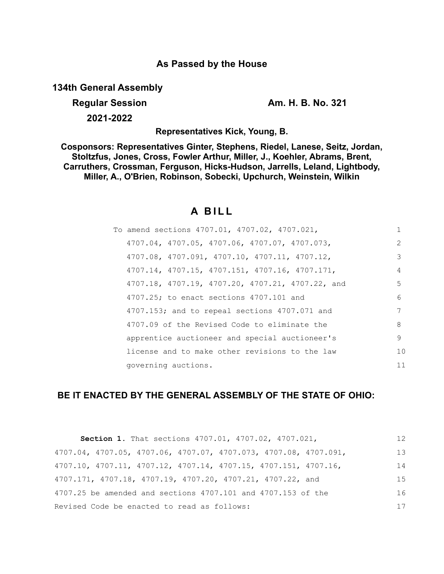## **As Passed by the House**

**134th General Assembly**

**Regular Session Am. H. B. No. 321** 

**2021-2022**

**Representatives Kick, Young, B.**

**Cosponsors: Representatives Ginter, Stephens, Riedel, Lanese, Seitz, Jordan, Stoltzfus, Jones, Cross, Fowler Arthur, Miller, J., Koehler, Abrams, Brent, Carruthers, Crossman, Ferguson, Hicks-Hudson, Jarrells, Leland, Lightbody, Miller, A., O'Brien, Robinson, Sobecki, Upchurch, Weinstein, Wilkin**

# **A B I L L**

| To amend sections 4707.01, 4707.02, 4707.021,    |               |
|--------------------------------------------------|---------------|
| 4707.04, 4707.05, 4707.06, 4707.07, 4707.073,    | $\mathcal{L}$ |
| 4707.08, 4707.091, 4707.10, 4707.11, 4707.12,    | 3             |
| 4707.14, 4707.15, 4707.151, 4707.16, 4707.171,   | 4             |
| 4707.18, 4707.19, 4707.20, 4707.21, 4707.22, and | .5            |
| 4707.25; to enact sections 4707.101 and          | 6             |
| 4707.153; and to repeal sections 4707.071 and    | 7             |
| 4707.09 of the Revised Code to eliminate the     | 8             |
| apprentice auctioneer and special auctioneer's   | 9             |
| license and to make other revisions to the law   | 10            |
| governing auctions.                              | 11            |

### **BE IT ENACTED BY THE GENERAL ASSEMBLY OF THE STATE OF OHIO:**

| <b>Section 1.</b> That sections 4707.01, 4707.02, 4707.021,                          | 12 |
|--------------------------------------------------------------------------------------|----|
| 4707.04, 4707.05, 4707.06, 4707.07, 4707.073, 4707.08, 4707.091,                     | 13 |
| $4707.10$ , $4707.11$ , $4707.12$ , $4707.14$ , $4707.15$ , $4707.151$ , $4707.16$ , | 14 |
| 4707.171, 4707.18, 4707.19, 4707.20, 4707.21, 4707.22, and                           | 15 |
| 4707.25 be amended and sections 4707.101 and 4707.153 of the                         | 16 |
| Revised Code be enacted to read as follows:                                          | 17 |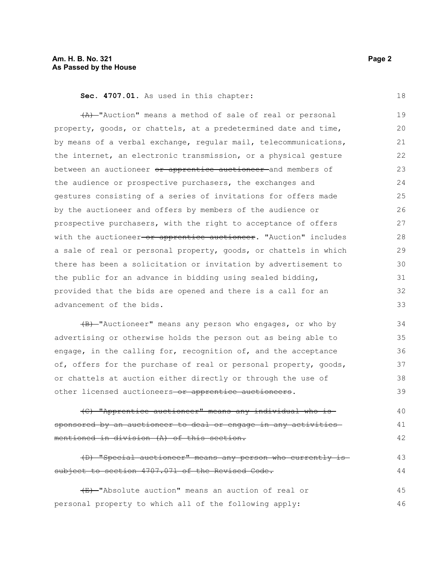**Sec. 4707.01.** As used in this chapter:

(A) "Auction" means a method of sale of real or personal property, goods, or chattels, at a predetermined date and time, by means of a verbal exchange, regular mail, telecommunications, the internet, an electronic transmission, or a physical gesture between an auctioneer or apprentice auctioneer and members of the audience or prospective purchasers, the exchanges and gestures consisting of a series of invitations for offers made by the auctioneer and offers by members of the audience or prospective purchasers, with the right to acceptance of offers with the auctioneer or apprentice auctioneer. "Auction" includes a sale of real or personal property, goods, or chattels in which there has been a solicitation or invitation by advertisement to the public for an advance in bidding using sealed bidding, provided that the bids are opened and there is a call for an advancement of the bids. 19 20 21 22 23  $24$ 25 26 27 28 29 30 31 32 33

(B) "Auctioneer" means any person who engages, or who by advertising or otherwise holds the person out as being able to engage, in the calling for, recognition of, and the acceptance of, offers for the purchase of real or personal property, goods, or chattels at auction either directly or through the use of other licensed auctioneers-or apprentice auctioneers.

(C) "Apprentice auctioneer" means any individual who is sponsored by an auctioneer to deal or engage in any activities mentioned in division (A) of this section. 40 41 42

(D) "Special auctioneer" means any person who currently is subject to section 4707.071 of the Revised Code. 43 44

(E) "Absolute auction" means an auction of real or personal property to which all of the following apply: 45 46

18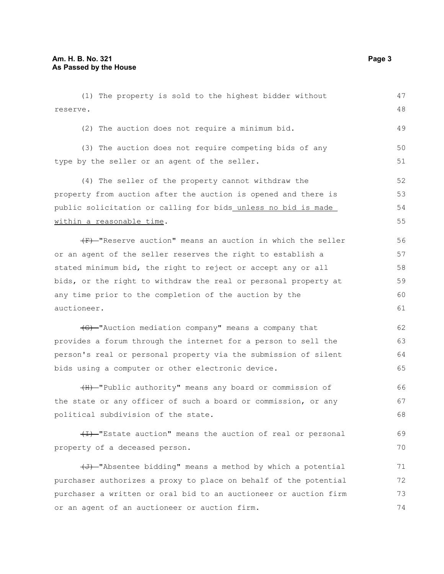| (1) The property is sold to the highest bidder without                | 47 |
|-----------------------------------------------------------------------|----|
| reserve.                                                              | 48 |
| (2) The auction does not require a minimum bid.                       | 49 |
| (3) The auction does not require competing bids of any                | 50 |
| type by the seller or an agent of the seller.                         | 51 |
| (4) The seller of the property cannot withdraw the                    | 52 |
| property from auction after the auction is opened and there is        | 53 |
| public solicitation or calling for bids unless no bid is made         | 54 |
| within a reasonable time.                                             | 55 |
| (F) Weserve auction" means an auction in which the seller             | 56 |
| or an agent of the seller reserves the right to establish a           | 57 |
| stated minimum bid, the right to reject or accept any or all          | 58 |
| bids, or the right to withdraw the real or personal property at       | 59 |
| any time prior to the completion of the auction by the                | 60 |
| auctioneer.                                                           | 61 |
| (G) "Auction mediation company" means a company that                  | 62 |
| provides a forum through the internet for a person to sell the        | 63 |
| person's real or personal property via the submission of silent       | 64 |
| bids using a computer or other electronic device.                     | 65 |
| (H)-"Public authority" means any board or commission of               | 66 |
| the state or any officer of such a board or commission, or any        | 67 |
| political subdivision of the state.                                   | 68 |
| (I) "Estate auction" means the auction of real or personal            | 69 |
| property of a deceased person.                                        | 70 |
| $\overline{+}$ . This is bidding" means a method by which a potential | 71 |
| purchaser authorizes a proxy to place on behalf of the potential      | 72 |
| purchaser a written or oral bid to an auctioneer or auction firm      | 73 |

or an agent of an auctioneer or auction firm.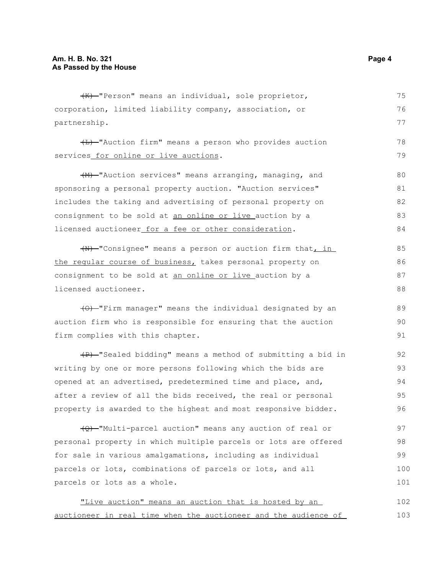(K) "Person" means an individual, sole proprietor, corporation, limited liability company, association, or partnership.

(L) "Auction firm" means a person who provides auction services for online or live auctions.

(M) "Auction services" means arranging, managing, and sponsoring a personal property auction. "Auction services" includes the taking and advertising of personal property on consignment to be sold at an online or live auction by a licensed auctioneer for a fee or other consideration. 80 81 82 83 84

(N) "Consignee" means a person or auction firm that, in the regular course of business, takes personal property on consignment to be sold at an online or live auction by a licensed auctioneer. 85 86 87 88

(O) "Firm manager" means the individual designated by an auction firm who is responsible for ensuring that the auction firm complies with this chapter.

(P) "Sealed bidding" means a method of submitting a bid in writing by one or more persons following which the bids are opened at an advertised, predetermined time and place, and, after a review of all the bids received, the real or personal property is awarded to the highest and most responsive bidder. 92 93 94 95 96

(Q) "Multi-parcel auction" means any auction of real or personal property in which multiple parcels or lots are offered for sale in various amalgamations, including as individual parcels or lots, combinations of parcels or lots, and all parcels or lots as a whole. 97 98 99 100 101

"Live auction" means an auction that is hosted by an auctioneer in real time when the auctioneer and the audience of 102 103

75 76 77

78 79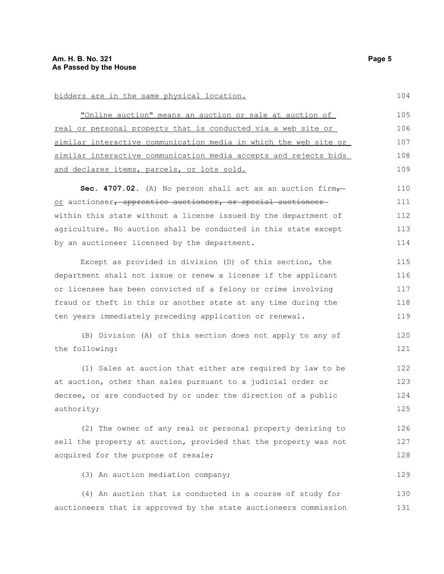bidders are in the same physical location.

| "Online auction" means an auction or sale at auction of          | 105 |
|------------------------------------------------------------------|-----|
| real or personal property that is conducted via a web site or    | 106 |
| similar interactive communication media in which the web site or | 107 |
| similar interactive communication media accepts and rejects bids | 108 |
| and declares items, parcels, or lots sold.                       | 109 |
| Sec. 4707.02. (A) No person shall act as an auction firm         | 110 |
| or auctioneer, apprentice auctioneer, or special auctioneer      | 111 |
| within this state without a license issued by the department of  | 112 |
| agriculture. No auction shall be conducted in this state except  | 113 |
| by an auctioneer licensed by the department.                     | 114 |
| Except as provided in division (D) of this section, the          | 115 |
| department shall not issue or renew a license if the applicant   | 116 |
| or licensee has been convicted of a felony or crime involving    | 117 |
| fraud or theft in this or another state at any time during the   | 118 |
| ten years immediately preceding application or renewal.          | 119 |
| (B) Division (A) of this section does not apply to any of        | 120 |
| the following:                                                   | 121 |
| (1) Sales at auction that either are required by law to be       | 122 |
| at auction, other than sales pursuant to a judicial order or     | 123 |
| decree, or are conducted by or under the direction of a public   | 124 |
| authority;                                                       | 125 |
| (2) The owner of any real or personal property desiring to       | 126 |
| sell the property at auction, provided that the property was not | 127 |
| acquired for the purpose of resale;                              | 128 |
| (3) An auction mediation company;                                | 129 |
| (4) An auction that is conducted in a course of study for        | 130 |
| auctioneers that is approved by the state auctioneers commission | 131 |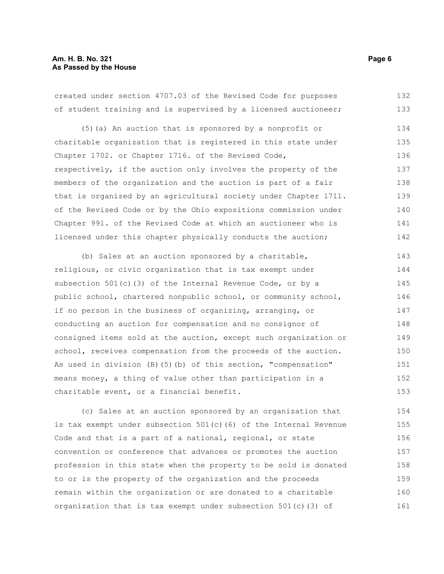#### **Am. H. B. No. 321** Page 6 **As Passed by the House**

created under section 4707.03 of the Revised Code for purposes of student training and is supervised by a licensed auctioneer; 132 133

(5)(a) An auction that is sponsored by a nonprofit or charitable organization that is registered in this state under Chapter 1702. or Chapter 1716. of the Revised Code, respectively, if the auction only involves the property of the members of the organization and the auction is part of a fair that is organized by an agricultural society under Chapter 1711. of the Revised Code or by the Ohio expositions commission under Chapter 991. of the Revised Code at which an auctioneer who is licensed under this chapter physically conducts the auction; 134 135 136 137 138 139 140 141 142

(b) Sales at an auction sponsored by a charitable, religious, or civic organization that is tax exempt under subsection 501(c)(3) of the Internal Revenue Code, or by a public school, chartered nonpublic school, or community school, if no person in the business of organizing, arranging, or conducting an auction for compensation and no consignor of consigned items sold at the auction, except such organization or school, receives compensation from the proceeds of the auction. As used in division (B)(5)(b) of this section, "compensation" means money, a thing of value other than participation in a charitable event, or a financial benefit. 143 144 145 146 147 148 149 150 151 152 153

(c) Sales at an auction sponsored by an organization that is tax exempt under subsection  $501(c)$  (6) of the Internal Revenue Code and that is a part of a national, regional, or state convention or conference that advances or promotes the auction profession in this state when the property to be sold is donated to or is the property of the organization and the proceeds remain within the organization or are donated to a charitable organization that is tax exempt under subsection 501(c)(3) of 154 155 156 157 158 159 160 161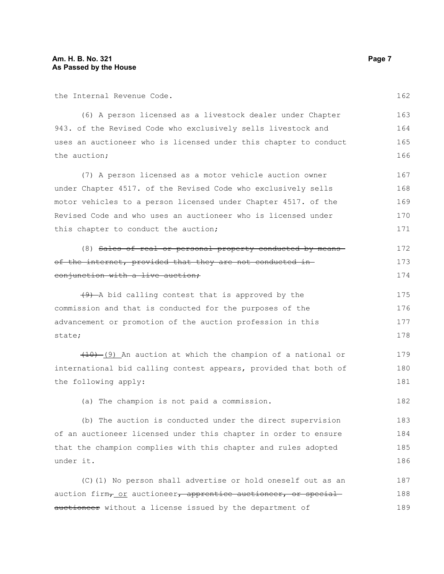the Internal Revenue Code.

(6) A person licensed as a livestock dealer under Chapter 943. of the Revised Code who exclusively sells livestock and uses an auctioneer who is licensed under this chapter to conduct the auction; 163 164 165 166

(7) A person licensed as a motor vehicle auction owner under Chapter 4517. of the Revised Code who exclusively sells motor vehicles to a person licensed under Chapter 4517. of the Revised Code and who uses an auctioneer who is licensed under this chapter to conduct the auction; 167 168 169 170 171

(8) Sales of real or personal property conducted by means of the internet, provided that they are not conducted inconjunction with a live auction; 172 173 174

(9) A bid calling contest that is approved by the commission and that is conducted for the purposes of the advancement or promotion of the auction profession in this state; 175 176 177 178

(10) (9) An auction at which the champion of a national or international bid calling contest appears, provided that both of the following apply: 179 180 181

(a) The champion is not paid a commission.

(b) The auction is conducted under the direct supervision of an auctioneer licensed under this chapter in order to ensure that the champion complies with this chapter and rules adopted under it. 183 184 185 186

(C)(1) No person shall advertise or hold oneself out as an auction firm<sub>7</sub> or auctioneer, apprentice auctioneer, or special auctioneer without a license issued by the department of 187 188 189

162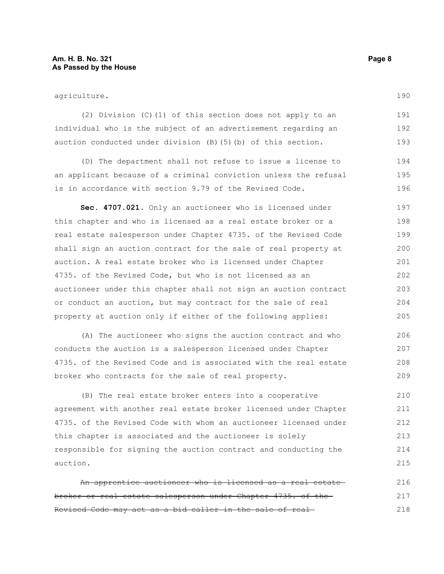agriculture.

(2) Division (C)(1) of this section does not apply to an individual who is the subject of an advertisement regarding an auction conducted under division (B)(5)(b) of this section. 191 192 193

(D) The department shall not refuse to issue a license to an applicant because of a criminal conviction unless the refusal is in accordance with section 9.79 of the Revised Code. 194 195 196

**Sec. 4707.021.** Only an auctioneer who is licensed under this chapter and who is licensed as a real estate broker or a real estate salesperson under Chapter 4735. of the Revised Code shall sign an auction contract for the sale of real property at auction. A real estate broker who is licensed under Chapter 4735. of the Revised Code, but who is not licensed as an auctioneer under this chapter shall not sign an auction contract or conduct an auction, but may contract for the sale of real property at auction only if either of the following applies: 197 198 199 200 201 202 203 204 205

(A) The auctioneer who signs the auction contract and who conducts the auction is a salesperson licensed under Chapter 4735. of the Revised Code and is associated with the real estate broker who contracts for the sale of real property. 206 207 208 209

(B) The real estate broker enters into a cooperative agreement with another real estate broker licensed under Chapter 4735. of the Revised Code with whom an auctioneer licensed under this chapter is associated and the auctioneer is solely responsible for signing the auction contract and conducting the auction. 210 211 212 213 214 215

An apprentice auctioneer who is licensed as a real estate broker or real estate salesperson under Chapter 4735. of the Revised Code may act as a bid caller in the sale of real 216 217 218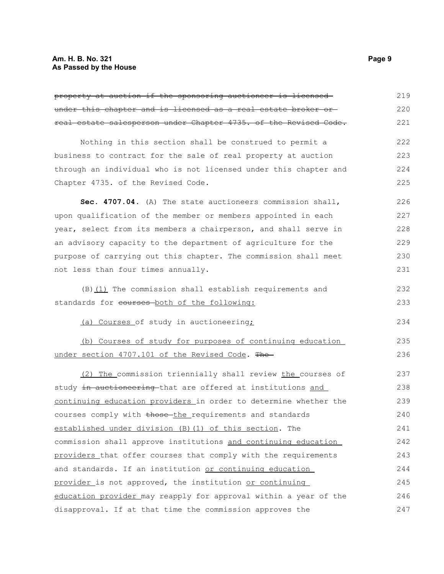| property at auction if the sponsoring auctioneer is licensed-    | 219 |
|------------------------------------------------------------------|-----|
| under this chapter and is licensed as a real estate broker or-   | 220 |
| real estate salesperson under Chapter 4735. of the Revised Code. | 221 |
|                                                                  | 222 |
| Nothing in this section shall be construed to permit a           |     |
| business to contract for the sale of real property at auction    | 223 |
| through an individual who is not licensed under this chapter and | 224 |
| Chapter 4735. of the Revised Code.                               | 225 |
| Sec. 4707.04. (A) The state auctioneers commission shall,        | 226 |
| upon qualification of the member or members appointed in each    | 227 |
| year, select from its members a chairperson, and shall serve in  | 228 |
| an advisory capacity to the department of agriculture for the    | 229 |
| purpose of carrying out this chapter. The commission shall meet  | 230 |
| not less than four times annually.                               | 231 |
| (B) (1) The commission shall establish requirements and          | 232 |
| standards for eourses-both of the following:                     | 233 |
|                                                                  |     |
| (a) Courses of study in auctioneering;                           | 234 |
| (b) Courses of study for purposes of continuing education        | 235 |
| under section 4707.101 of the Revised Code. The                  | 236 |
| (2) The commission triennially shall review the courses of       | 237 |
| study in auctioneering that are offered at institutions and      | 238 |
| continuing education providers in order to determine whether the | 239 |
| courses comply with those the requirements and standards         | 240 |
| established under division (B) (1) of this section. The          | 241 |
| commission shall approve institutions and continuing education   | 242 |
| providers that offer courses that comply with the requirements   | 243 |
| and standards. If an institution or continuing education         | 244 |
| provider is not approved, the institution or continuing          | 245 |
| education provider may reapply for approval within a year of the | 246 |
| disapproval. If at that time the commission approves the         | 247 |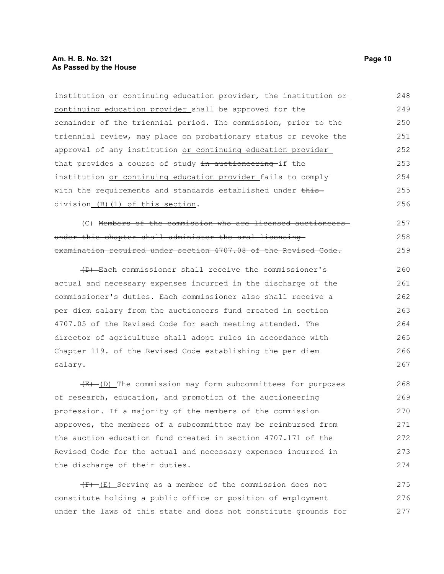| institution or continuing education provider, the institution or     | 248 |
|----------------------------------------------------------------------|-----|
| continuing education provider shall be approved for the              | 249 |
| remainder of the triennial period. The commission, prior to the      | 250 |
| triennial review, may place on probationary status or revoke the     | 251 |
| approval of any institution or continuing education provider         | 252 |
| that provides a course of study in auctioneering if the              | 253 |
| institution or continuing education provider fails to comply         | 254 |
| with the requirements and standards established under this           | 255 |
| division_(B)(1) of this section.                                     | 256 |
| (C) Members of the commission who are licensed auctioneers-          | 257 |
| under this chapter shall administer the oral licensing-              | 258 |
| examination required under section 4707.08 of the Revised Code.      | 259 |
| (D) Each commissioner shall receive the commissioner's               | 260 |
| actual and necessary expenses incurred in the discharge of the       | 261 |
| commissioner's duties. Each commissioner also shall receive a        | 262 |
| per diem salary from the auctioneers fund created in section         | 263 |
| 4707.05 of the Revised Code for each meeting attended. The           | 264 |
| director of agriculture shall adopt rules in accordance with         | 265 |
| Chapter 119. of the Revised Code establishing the per diem           | 266 |
| salary.                                                              | 267 |
| $\frac{E}{E}$ (D) The commission may form subcommittees for purposes | 268 |
| of research, education, and promotion of the auctioneering           | 269 |
| profession. If a majority of the members of the commission           | 270 |
| approves, the members of a subcommittee may be reimbursed from       | 271 |
| the auction education fund created in section 4707.171 of the        | 272 |
|                                                                      |     |

 $(F)$  (E) Serving as a member of the commission does not constitute holding a public office or position of employment under the laws of this state and does not constitute grounds for 275 276 277

Revised Code for the actual and necessary expenses incurred in

the discharge of their duties.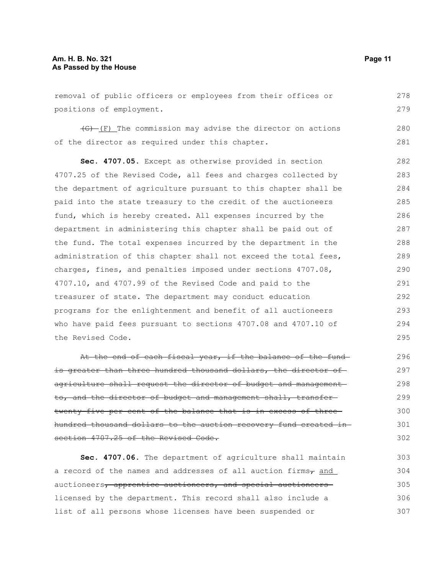removal of public officers or employees from their offices or positions of employment. 278 279

 $\overline{(G)}$  (F) The commission may advise the director on actions of the director as required under this chapter.

**Sec. 4707.05.** Except as otherwise provided in section 4707.25 of the Revised Code, all fees and charges collected by the department of agriculture pursuant to this chapter shall be paid into the state treasury to the credit of the auctioneers fund, which is hereby created. All expenses incurred by the department in administering this chapter shall be paid out of the fund. The total expenses incurred by the department in the administration of this chapter shall not exceed the total fees, charges, fines, and penalties imposed under sections 4707.08, 4707.10, and 4707.99 of the Revised Code and paid to the treasurer of state. The department may conduct education programs for the enlightenment and benefit of all auctioneers who have paid fees pursuant to sections 4707.08 and 4707.10 of the Revised Code. 282 283 284 285 286 287 288 289 290 291 292 293 294 295

At the end of each fiscal year, if the balance of the fundis greater than three hundred thousand dollars, the director ofagriculture shall request the director of budget and management to, and the director of budget and management shall, transfertwenty-five per cent of the balance that is in excess of three hundred thousand dollars to the auction recovery fund created in section 4707.25 of the Revised Code.

**Sec. 4707.06.** The department of agriculture shall maintain a record of the names and addresses of all auction firms $_{7}$  and auctioneers, apprentice auctioneers, and special auctioneers licensed by the department. This record shall also include a list of all persons whose licenses have been suspended or 303 304 305 306 307

280 281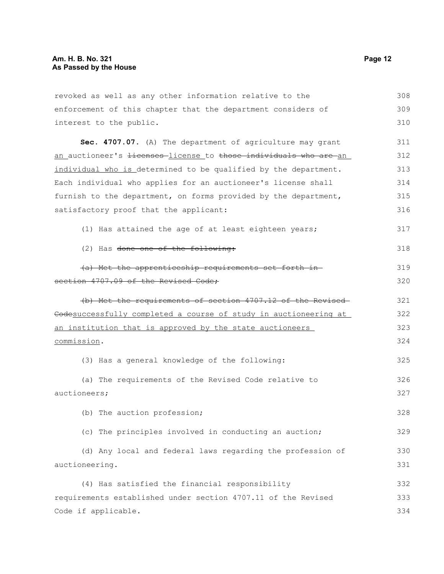| revoked as well as any other information relative to the                    | 308 |
|-----------------------------------------------------------------------------|-----|
| enforcement of this chapter that the department considers of                | 309 |
| interest to the public.                                                     | 310 |
| Sec. 4707.07. (A) The department of agriculture may grant                   | 311 |
| an auctioneer's <del>licenses</del> license to those individuals who are an | 312 |
| individual who is determined to be qualified by the department.             | 313 |
| Each individual who applies for an auctioneer's license shall               | 314 |
| furnish to the department, on forms provided by the department,             | 315 |
| satisfactory proof that the applicant:                                      | 316 |
| (1) Has attained the age of at least eighteen years;                        | 317 |
| (2) Has <del>done one of the following:</del>                               | 318 |
| (a) Met the apprenticeship requirements set forth in-                       | 319 |
| section 4707.09 of the Revised Code;                                        | 320 |
| (b) Met the requirements of section 4707.12 of the Revised-                 | 321 |
| Codesuccessfully completed a course of study in auctioneering at            | 322 |
| <u>an institution that is approved by the state auctioneers</u>             | 323 |
| commission.                                                                 | 324 |
| (3) Has a general knowledge of the following:                               | 325 |
| (a) The requirements of the Revised Code relative to                        | 326 |
| auctioneers;                                                                | 327 |
| (b) The auction profession;                                                 | 328 |
| (c) The principles involved in conducting an auction;                       | 329 |
| (d) Any local and federal laws regarding the profession of                  | 330 |
| auctioneering.                                                              | 331 |
| (4) Has satisfied the financial responsibility                              | 332 |
| requirements established under section 4707.11 of the Revised               | 333 |
| Code if applicable.                                                         | 334 |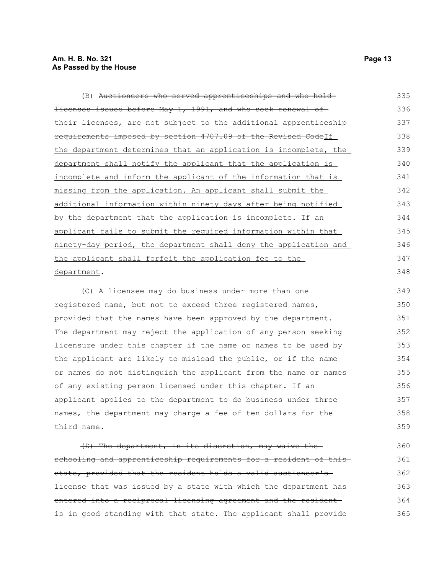| (B) <del>Auctioneers who served apprenticeships and who hold</del>     | 335 |
|------------------------------------------------------------------------|-----|
| <del>licenses issued before May 1, 1991, and who seek renewal of</del> | 336 |
| their licenses, are not subject to the additional apprenticeship-      | 337 |
| requirements imposed by section 4707.09 of the Revised Codelf          | 338 |
| the department determines that an application is incomplete, the       | 339 |
| department shall notify the applicant that the application is          | 340 |
| incomplete and inform the applicant of the information that is         | 341 |
| missing from the application. An applicant shall submit the            | 342 |
| additional information within ninety days after being notified         | 343 |
| by the department that the application is incomplete. If an            | 344 |
| applicant fails to submit the required information within that         | 345 |
| ninety-day period, the department shall deny the application and       | 346 |
| the applicant shall forfeit the application fee to the                 | 347 |
| department.                                                            | 348 |
| (C) A licensee may do business under more than one                     | 349 |

(C) A licensee may do business under more than one registered name, but not to exceed three registered names, provided that the names have been approved by the department. The department may reject the application of any person seeking licensure under this chapter if the name or names to be used by the applicant are likely to mislead the public, or if the name or names do not distinguish the applicant from the name or names of any existing person licensed under this chapter. If an applicant applies to the department to do business under three names, the department may charge a fee of ten dollars for the third name. 350 351 352 353 354 355 356 357 358 359

(D) The department, in its discretion, may waive the schooling and apprenticeship requirements for a resident of thisstate, provided that the resident holds a valid auctioneer's license that was issued by a state with which the department has entered into a reciprocal licensing agreement and the resident is in good standing with that state. The applicant shall provide 360 361 362 363 364 365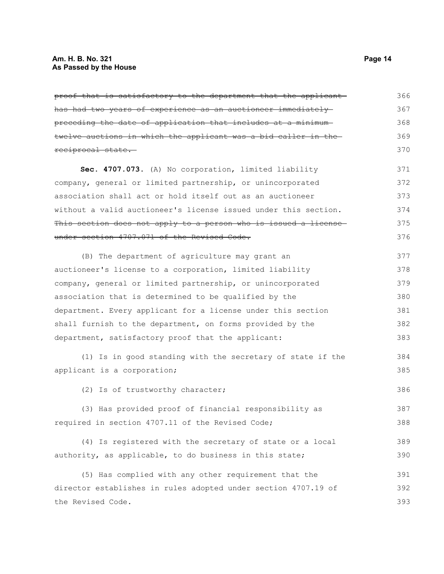proof that is satisfactory to the department that the applicant has had two years of experience as an auctioneer immediately preceding the date of application that includes at a minimum twelve auctions in which the applicant was a bid caller in the reciprocal state. **Sec. 4707.073.** (A) No corporation, limited liability company, general or limited partnership, or unincorporated association shall act or hold itself out as an auctioneer without a valid auctioneer's license issued under this section. This section does not apply to a person who is issued a licenseunder section 4707.071 of the Revised Code. (B) The department of agriculture may grant an auctioneer's license to a corporation, limited liability company, general or limited partnership, or unincorporated association that is determined to be qualified by the department. Every applicant for a license under this section shall furnish to the department, on forms provided by the department, satisfactory proof that the applicant: (1) Is in good standing with the secretary of state if the applicant is a corporation; (2) Is of trustworthy character; (3) Has provided proof of financial responsibility as required in section 4707.11 of the Revised Code; (4) Is registered with the secretary of state or a local authority, as applicable, to do business in this state; (5) Has complied with any other requirement that the director establishes in rules adopted under section 4707.19 of the Revised Code. 366 367 368 369 370 371 372 373 374 375 376 377 378 379 380 381 382 383 384 385 386 387 388 389 390 391 392 393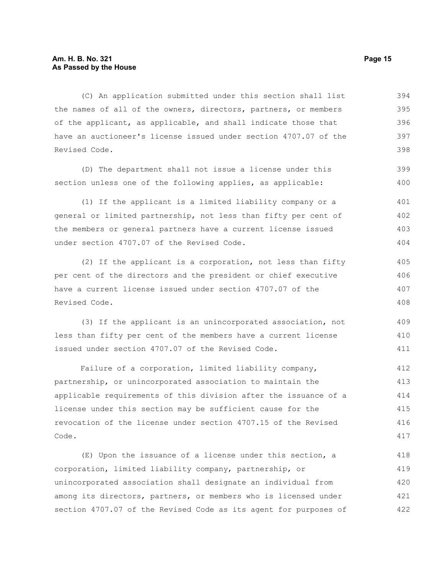#### **Am. H. B. No. 321 Page 15 As Passed by the House**

(C) An application submitted under this section shall list the names of all of the owners, directors, partners, or members of the applicant, as applicable, and shall indicate those that have an auctioneer's license issued under section 4707.07 of the Revised Code. 394 395 396 397 398

(D) The department shall not issue a license under this section unless one of the following applies, as applicable:

(1) If the applicant is a limited liability company or a general or limited partnership, not less than fifty per cent of the members or general partners have a current license issued under section 4707.07 of the Revised Code. 401 402 403 404

(2) If the applicant is a corporation, not less than fifty per cent of the directors and the president or chief executive have a current license issued under section 4707.07 of the Revised Code. 405 406 407 408

(3) If the applicant is an unincorporated association, not less than fifty per cent of the members have a current license issued under section 4707.07 of the Revised Code. 409 410 411

Failure of a corporation, limited liability company, partnership, or unincorporated association to maintain the applicable requirements of this division after the issuance of a license under this section may be sufficient cause for the revocation of the license under section 4707.15 of the Revised Code. 412 413 414 415 416 417

(E) Upon the issuance of a license under this section, a corporation, limited liability company, partnership, or unincorporated association shall designate an individual from among its directors, partners, or members who is licensed under section 4707.07 of the Revised Code as its agent for purposes of 418 419 420 421 422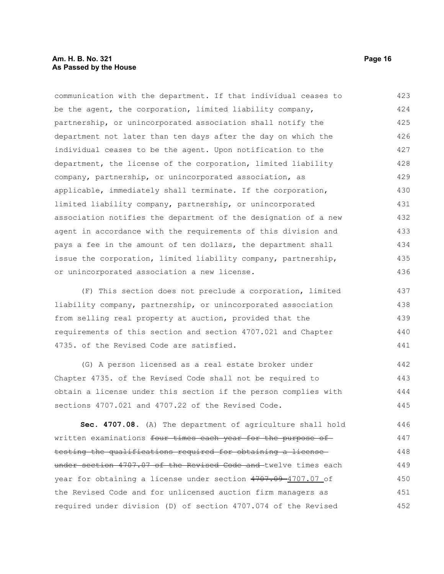#### **Am. H. B. No. 321 Page 16 As Passed by the House**

communication with the department. If that individual ceases to be the agent, the corporation, limited liability company, partnership, or unincorporated association shall notify the department not later than ten days after the day on which the individual ceases to be the agent. Upon notification to the department, the license of the corporation, limited liability company, partnership, or unincorporated association, as applicable, immediately shall terminate. If the corporation, limited liability company, partnership, or unincorporated association notifies the department of the designation of a new agent in accordance with the requirements of this division and pays a fee in the amount of ten dollars, the department shall issue the corporation, limited liability company, partnership, or unincorporated association a new license. 423 424 425 426 427 428 429 430 431 432 433 434 435 436

(F) This section does not preclude a corporation, limited liability company, partnership, or unincorporated association from selling real property at auction, provided that the requirements of this section and section 4707.021 and Chapter 4735. of the Revised Code are satisfied. 437 438 439 440 441

(G) A person licensed as a real estate broker under Chapter 4735. of the Revised Code shall not be required to obtain a license under this section if the person complies with sections 4707.021 and 4707.22 of the Revised Code. 442 443 444 445

**Sec. 4707.08.** (A) The department of agriculture shall hold written examinations four times each year for the purpose of testing the qualifications required for obtaining a license under section 4707.07 of the Revised Code and twelve times each year for obtaining a license under section 4707.09-4707.07 of the Revised Code and for unlicensed auction firm managers as required under division (D) of section 4707.074 of the Revised 446 447 448 449 450 451 452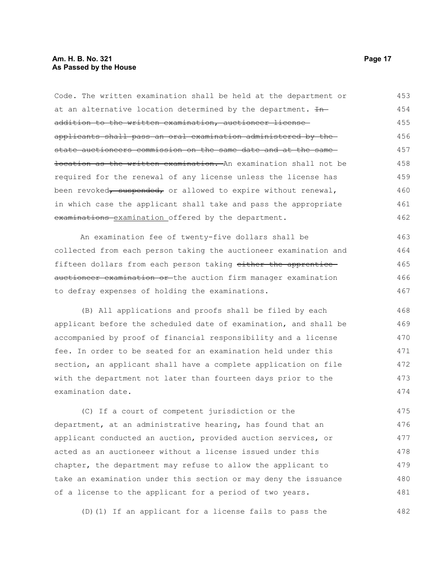#### **Am. H. B. No. 321 Page 17 As Passed by the House**

Code. The written examination shall be held at the department or at an alternative location determined by the department.  $H$ addition to the written examination, auctioneer license applicants shall pass an oral examination administered by the state auctioneers commission on the same date and at the same location as the written examination. An examination shall not be required for the renewal of any license unless the license has been revoked, suspended, or allowed to expire without renewal, in which case the applicant shall take and pass the appropriate examinations examination offered by the department. An examination fee of twenty-five dollars shall be collected from each person taking the auctioneer examination and fifteen dollars from each person taking either the apprentice auctioneer examination or the auction firm manager examination to defray expenses of holding the examinations. (B) All applications and proofs shall be filed by each applicant before the scheduled date of examination, and shall be accompanied by proof of financial responsibility and a license fee. In order to be seated for an examination held under this section, an applicant shall have a complete application on file with the department not later than fourteen days prior to the examination date. (C) If a court of competent jurisdiction or the department, at an administrative hearing, has found that an applicant conducted an auction, provided auction services, or acted as an auctioneer without a license issued under this chapter, the department may refuse to allow the applicant to take an examination under this section or may deny the issuance of a license to the applicant for a period of two years. 453 454 455 456 457 458 459 460 461 462 463 464 465 466 467 468 469 470 471 472 473 474 475 476 477 478 479 480 481

(D)(1) If an applicant for a license fails to pass the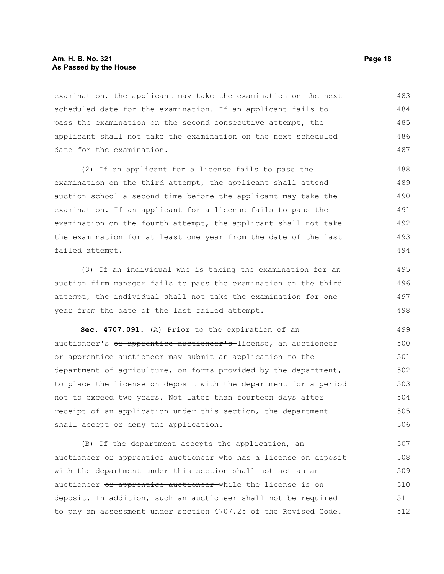#### **Am. H. B. No. 321 Page 18 As Passed by the House**

examination, the applicant may take the examination on the next scheduled date for the examination. If an applicant fails to pass the examination on the second consecutive attempt, the applicant shall not take the examination on the next scheduled date for the examination. 483 484 485 486 487

(2) If an applicant for a license fails to pass the examination on the third attempt, the applicant shall attend auction school a second time before the applicant may take the examination. If an applicant for a license fails to pass the examination on the fourth attempt, the applicant shall not take the examination for at least one year from the date of the last failed attempt. 488 489 490 491 492 493 494

(3) If an individual who is taking the examination for an auction firm manager fails to pass the examination on the third attempt, the individual shall not take the examination for one year from the date of the last failed attempt.

**Sec. 4707.091.** (A) Prior to the expiration of an auctioneer's or apprentice auctioneer's license, an auctioneer or apprentice auctioneer may submit an application to the department of agriculture, on forms provided by the department, to place the license on deposit with the department for a period not to exceed two years. Not later than fourteen days after receipt of an application under this section, the department shall accept or deny the application. 499 500 501 502 503 504 505 506

(B) If the department accepts the application, an auctioneer or apprentice auctioneer who has a license on deposit with the department under this section shall not act as an auctioneer or apprentice auctioneer while the license is on deposit. In addition, such an auctioneer shall not be required to pay an assessment under section 4707.25 of the Revised Code. 507 508 509 510 511 512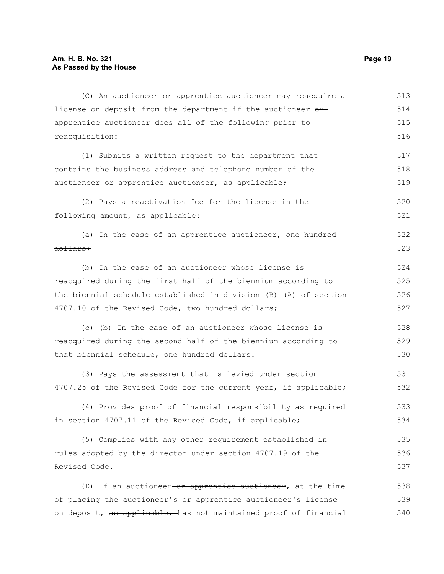| (C) An auctioneer or apprentice auctioneer may reacquire a          | 513 |
|---------------------------------------------------------------------|-----|
| license on deposit from the department if the auctioneer or         | 514 |
| apprentice auctioneer does all of the following prior to            | 515 |
| reacquisition:                                                      | 516 |
| (1) Submits a written request to the department that                | 517 |
| contains the business address and telephone number of the           | 518 |
| auctioneer-or apprentice auctioneer, as applicable;                 | 519 |
| (2) Pays a reactivation fee for the license in the                  | 520 |
| following amount, as applicable:                                    | 521 |
| (a) <del>In the case of an apprentice auctioneer, one hundred</del> | 522 |
| dollars;                                                            | 523 |
| (b) In the case of an auctioneer whose license is                   | 524 |
| reacquired during the first half of the biennium according to       | 525 |
| the biennial schedule established in division $(B)$ (A) of section  | 526 |
| 4707.10 of the Revised Code, two hundred dollars;                   | 527 |
| $(e)$ (b) In the case of an auctioneer whose license is             | 528 |
| reacquired during the second half of the biennium according to      | 529 |
| that biennial schedule, one hundred dollars.                        | 530 |
| (3) Pays the assessment that is levied under section                | 531 |
| 4707.25 of the Revised Code for the current year, if applicable;    | 532 |
| (4) Provides proof of financial responsibility as required          | 533 |
| in section 4707.11 of the Revised Code, if applicable;              | 534 |
| (5) Complies with any other requirement established in              | 535 |
| rules adopted by the director under section 4707.19 of the          | 536 |
| Revised Code.                                                       | 537 |
| (D) If an auctioneer or apprentice auctioneer, at the time          | 538 |
| of placing the auctioneer's or apprentice auctioneer's license      | 539 |
| on deposit, as applicable, has not maintained proof of financial    | 540 |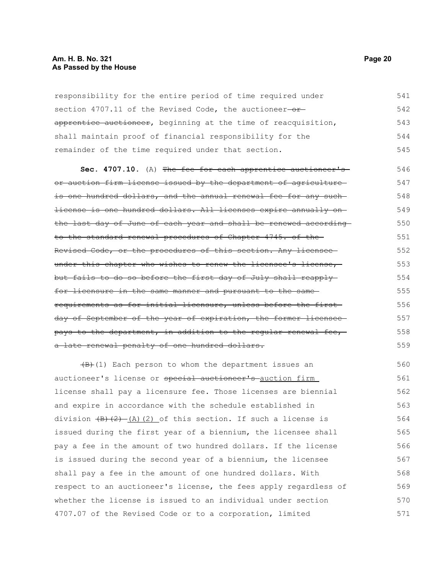#### **Am. H. B. No. 321 Page 20 As Passed by the House**

responsibility for the entire period of time required under section 4707.11 of the Revised Code, the auctioneer- $$ apprentice auctioneer, beginning at the time of reacquisition, shall maintain proof of financial responsibility for the remainder of the time required under that section. 541 542 543 544 545

**Sec. 4707.10.** (A) The fee for each apprentice auctioneer'sor auction firm license issued by the department of agriculture is one hundred dollars, and the annual renewal fee for any suchlicense is one hundred dollars. All licenses expire annually on the last day of June of each year and shall be renewed according to the standard renewal procedures of Chapter 4745. of the Revised Code, or the procedures of this section. Any licensee under this chapter who wishes to renew the licensee's license, but fails to do so before the first day of July shall reapply for licensure in the same manner and pursuant to the same requirements as for initial licensure, unless before the first day of September of the year of expiration, the former licenseepays to the department, in addition to the regular renewal fee, a late renewal penalty of one hundred dollars. 546 547 548 549 550 551 552 553 554 555 556 557 558 559

 $\left(\frac{B}{C}\right)$ (1) Each person to whom the department issues an auctioneer's license or special auctioneer's auction firm license shall pay a licensure fee. Those licenses are biennial and expire in accordance with the schedule established in division  $(B)$   $(2)$   $(A)$   $(2)$  of this section. If such a license is issued during the first year of a biennium, the licensee shall pay a fee in the amount of two hundred dollars. If the license is issued during the second year of a biennium, the licensee shall pay a fee in the amount of one hundred dollars. With respect to an auctioneer's license, the fees apply regardless of whether the license is issued to an individual under section 4707.07 of the Revised Code or to a corporation, limited 560 561 562 563 564 565 566 567 568 569 570 571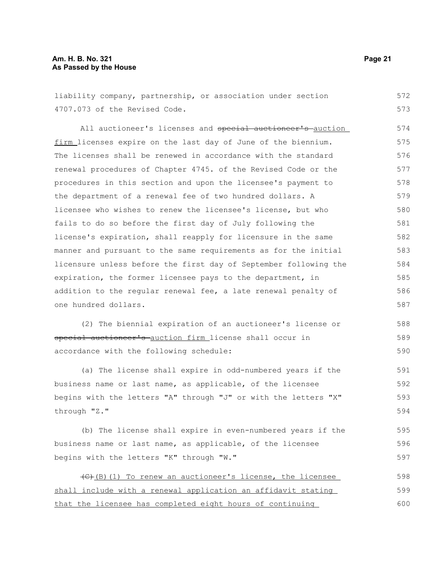#### **Am. H. B. No. 321 Page 21 As Passed by the House**

liability company, partnership, or association under section 4707.073 of the Revised Code. All auctioneer's licenses and special auctioneer's auction firm licenses expire on the last day of June of the biennium. The licenses shall be renewed in accordance with the standard renewal procedures of Chapter 4745. of the Revised Code or the procedures in this section and upon the licensee's payment to the department of a renewal fee of two hundred dollars. A licensee who wishes to renew the licensee's license, but who fails to do so before the first day of July following the license's expiration, shall reapply for licensure in the same manner and pursuant to the same requirements as for the initial licensure unless before the first day of September following the expiration, the former licensee pays to the department, in addition to the regular renewal fee, a late renewal penalty of one hundred dollars. (2) The biennial expiration of an auctioneer's license or special auctioneer's auction firm license shall occur in accordance with the following schedule: (a) The license shall expire in odd-numbered years if the business name or last name, as applicable, of the licensee begins with the letters "A" through "J" or with the letters "X" through "Z." (b) The license shall expire in even-numbered years if the business name or last name, as applicable, of the licensee begins with the letters "K" through "W." (C)(B)(1) To renew an auctioneer's license, the licensee 572 573 574 575 576 577 578 579 580 581 582 583 584 585 586 587 588 589 590 591 592 593 594 595 596 597 598

shall include with a renewal application an affidavit stating that the licensee has completed eight hours of continuing 599 600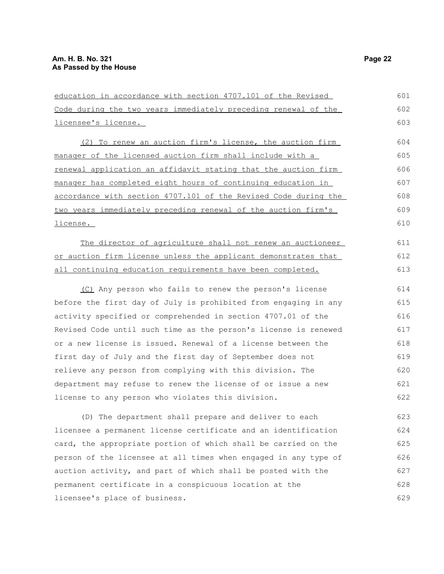| education in accordance with section 4707.101 of the Revised    | 601 |
|-----------------------------------------------------------------|-----|
| Code during the two years immediately preceding renewal of the  | 602 |
| licensee's license.                                             | 603 |
| (2) To renew an auction firm's license, the auction firm        | 604 |
| manager of the licensed auction firm shall include with a       | 605 |
| renewal application an affidavit stating that the auction firm  | 606 |
| manager has completed eight hours of continuing education in    | 607 |
| accordance with section 4707.101 of the Revised Code during the | 608 |
| two years immediately preceding renewal of the auction firm's   | 609 |
| license.                                                        | 610 |
| The director of agriculture shall not renew an auctioneer       | 611 |
| or auction firm license unless the applicant demonstrates that  | 612 |
| all continuing education requirements have been completed.      | 613 |
| (C) Any person who fails to renew the person's license          | 614 |
| before the first day of July is prohibited from engaging in any | 615 |
| activity specified or comprehended in section 4707.01 of the    | 616 |
| Revised Code until such time as the person's license is renewed | 617 |
| or a new license is issued. Renewal of a license between the    | 618 |
| first day of July and the first day of September does not       | 619 |
| relieve any person from complying with this division. The       | 620 |
| department may refuse to renew the license of or issue a new    | 621 |

(D) The department shall prepare and deliver to each licensee a permanent license certificate and an identification card, the appropriate portion of which shall be carried on the person of the licensee at all times when engaged in any type of auction activity, and part of which shall be posted with the permanent certificate in a conspicuous location at the licensee's place of business. 623 624 625 626 627 628 629

license to any person who violates this division.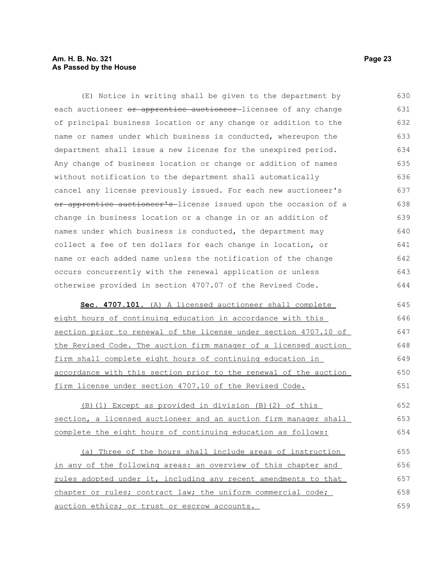#### **Am. H. B. No. 321 Page 23 As Passed by the House**

(E) Notice in writing shall be given to the department by each auctioneer or apprentice auctioneer-licensee of any change of principal business location or any change or addition to the name or names under which business is conducted, whereupon the department shall issue a new license for the unexpired period. Any change of business location or change or addition of names without notification to the department shall automatically cancel any license previously issued. For each new auctioneer's or apprentice auctioneer's license issued upon the occasion of a change in business location or a change in or an addition of names under which business is conducted, the department may collect a fee of ten dollars for each change in location, or name or each added name unless the notification of the change occurs concurrently with the renewal application or unless otherwise provided in section 4707.07 of the Revised Code. 630 631 632 633 634 635 636 637 638 639 640 641 642 643 644

 **Sec. 4707.101.** (A) A licensed auctioneer shall complete eight hours of continuing education in accordance with this section prior to renewal of the license under section 4707.10 of the Revised Code. The auction firm manager of a licensed auction firm shall complete eight hours of continuing education in accordance with this section prior to the renewal of the auction firm license under section 4707.10 of the Revised Code. 645 646 647 648 649 650 651

(B)(1) Except as provided in division (B)(2) of this section, a licensed auctioneer and an auction firm manager shall complete the eight hours of continuing education as follows: 652 653 654

(a) Three of the hours shall include areas of instruction in any of the following areas: an overview of this chapter and rules adopted under it, including any recent amendments to that chapter or rules; contract law; the uniform commercial code; auction ethics; or trust or escrow accounts. 655 656 657 658 659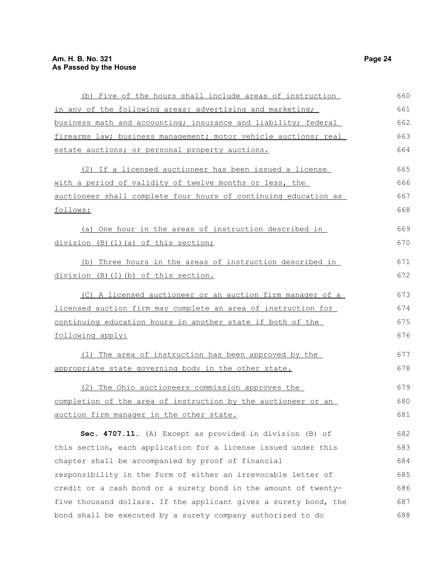| (b) Five of the hours shall include areas of instruction             | 660 |
|----------------------------------------------------------------------|-----|
| in any of the following areas: advertising and marketing;            | 661 |
| business math and accounting; insurance and liability; federal       | 662 |
| firearms law; business management; motor vehicle auctions; real      | 663 |
| estate auctions; or personal property auctions.                      | 664 |
| (2) If a licensed auctioneer has been issued a license               | 665 |
| with a period of validity of twelve months or less, the              | 666 |
| auctioneer shall complete four hours of continuing education as      | 667 |
| follows:                                                             | 668 |
| (a) One hour in the areas of instruction described in                | 669 |
| division (B)(1)(a) of this section;                                  | 670 |
| (b) Three hours in the areas of instruction described in             | 671 |
| division (B)(1)(b) of this section.                                  | 672 |
| (C) A licensed auctioneer or an auction firm manager of a            | 673 |
| <u>licensed auction firm may complete an area of instruction for</u> | 674 |
| continuing education hours in another state if both of the           | 675 |
| following apply:                                                     | 676 |
| (1) The area of instruction has been approved by the                 | 677 |
| appropriate state governing body in the other state.                 | 678 |
| (2) The Ohio auctioneers commission approves the                     | 679 |
| completion of the area of instruction by the auctioneer or an        | 680 |
| auction firm manager in the other state.                             | 681 |
| Sec. 4707.11. (A) Except as provided in division (B) of              | 682 |
| this section, each application for a license issued under this       | 683 |
| chapter shall be accompanied by proof of financial                   | 684 |
| responsibility in the form of either an irrevocable letter of        | 685 |
| credit or a cash bond or a surety bond in the amount of twenty-      | 686 |
| five thousand dollars. If the applicant gives a surety bond, the     | 687 |
| bond shall be executed by a surety company authorized to do          | 688 |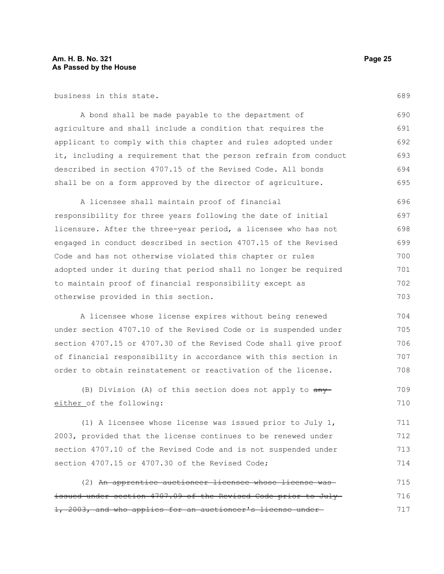business in this state.

A bond shall be made payable to the department of agriculture and shall include a condition that requires the applicant to comply with this chapter and rules adopted under it, including a requirement that the person refrain from conduct described in section 4707.15 of the Revised Code. All bonds shall be on a form approved by the director of agriculture. 690 691 692 693 694 695

A licensee shall maintain proof of financial responsibility for three years following the date of initial licensure. After the three-year period, a licensee who has not engaged in conduct described in section 4707.15 of the Revised Code and has not otherwise violated this chapter or rules adopted under it during that period shall no longer be required to maintain proof of financial responsibility except as otherwise provided in this section. 696 697 698 699 700 701 702 703

A licensee whose license expires without being renewed under section 4707.10 of the Revised Code or is suspended under section 4707.15 or 4707.30 of the Revised Code shall give proof of financial responsibility in accordance with this section in order to obtain reinstatement or reactivation of the license.

(B) Division (A) of this section does not apply to  $\frac{any}{ }$ either of the following: 709 710

(1) A licensee whose license was issued prior to July 1, 2003, provided that the license continues to be renewed under section 4707.10 of the Revised Code and is not suspended under section 4707.15 or 4707.30 of the Revised Code; 711 712 713 714

(2) An apprentice auctioneer licensee whose license was issued under section 4707.09 of the Revised Code prior to July 1, 2003, and who applies for an auctioneer's license under 715 716 717

689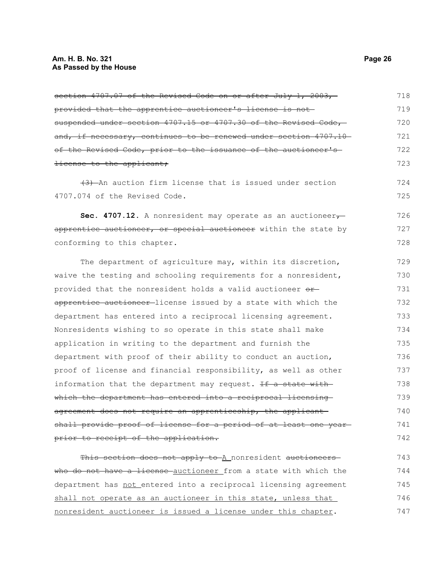| section 4707.07 of the Revised Code on or after July 1, 2003,     | 718 |
|-------------------------------------------------------------------|-----|
| provided that the apprentice auctioneer's license is not          | 719 |
| suspended under section 4707.15 or 4707.30 of the Revised Code,-  | 720 |
| and, if necessary, continues to be renewed under section 4707.10  | 721 |
| of the Revised Code, prior to the issuance of the auctioneer's-   | 722 |
| license to the applicant;                                         | 723 |
| (3) An auction firm license that is issued under section          | 724 |
| 4707.074 of the Revised Code.                                     | 725 |
| Sec. 4707.12. A nonresident may operate as an auctioneer $\tau$   | 726 |
| apprentice auctioneer, or special auctioneer within the state by  | 727 |
| conforming to this chapter.                                       | 728 |
| The department of agriculture may, within its discretion,         | 729 |
| waive the testing and schooling requirements for a nonresident,   | 730 |
| provided that the nonresident holds a valid auctioneer or-        | 731 |
| apprentice auctioneer-license issued by a state with which the    | 732 |
| department has entered into a reciprocal licensing agreement.     | 733 |
| Nonresidents wishing to so operate in this state shall make       | 734 |
| application in writing to the department and furnish the          | 735 |
| department with proof of their ability to conduct an auction,     | 736 |
| proof of license and financial responsibility, as well as other   | 737 |
| information that the department may request. If a state with      | 738 |
| which the department has entered into a reciprocal licensing      | 739 |
| agreement does not require an apprenticeship, the applicant       | 740 |
| shall provide proof of license for a period of at least one year- | 741 |
| prior to receipt of the application.                              | 742 |

This section does not apply to A nonresident auctioneers who do not have a license auctioneer from a state with which the department has not entered into a reciprocal licensing agreement shall not operate as an auctioneer in this state, unless that nonresident auctioneer is issued a license under this chapter. 743 744 745 746 747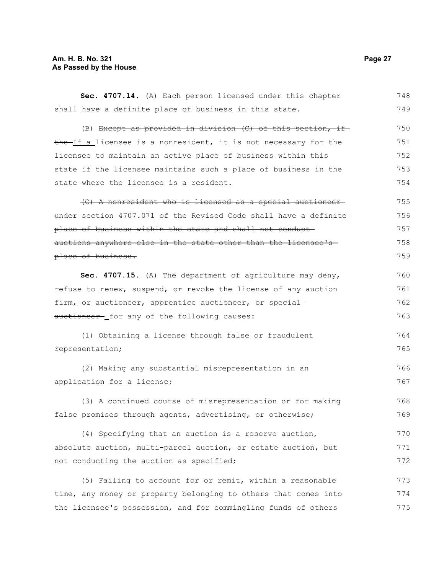### **Am. H. B. No. 321 Page 27 As Passed by the House**

| Sec. 4707.14. (A) Each person licensed under this chapter        | 748 |
|------------------------------------------------------------------|-----|
| shall have a definite place of business in this state.           | 749 |
| (B) Except as provided in division (C) of this section, if-      | 750 |
| the If a licensee is a nonresident, it is not necessary for the  | 751 |
| licensee to maintain an active place of business within this     | 752 |
| state if the licensee maintains such a place of business in the  | 753 |
| state where the licensee is a resident.                          | 754 |
| (C) A nonresident who is licensed as a special auctioneer-       | 755 |
| under section 4707.071 of the Revised Code shall have a definite | 756 |
| place of business within the state and shall not conduct-        | 757 |
| auctions anywhere else in the state other than the licensee's    | 758 |
| place of business.                                               | 759 |
| Sec. 4707.15. (A) The department of agriculture may deny,        | 760 |
| refuse to renew, suspend, or revoke the license of any auction   | 761 |
| firm, or auctioneer, apprentice auctioneer, or special           | 762 |
| auctioneer- for any of the following causes:                     | 763 |
| (1) Obtaining a license through false or fraudulent              | 764 |
| representation;                                                  | 765 |
| (2) Making any substantial misrepresentation in an               | 766 |
| application for a license;                                       | 767 |
| (3) A continued course of misrepresentation or for making        | 768 |
| false promises through agents, advertising, or otherwise;        | 769 |
| (4) Specifying that an auction is a reserve auction,             | 770 |
| absolute auction, multi-parcel auction, or estate auction, but   | 771 |
| not conducting the auction as specified;                         | 772 |
| (5) Failing to account for or remit, within a reasonable         | 773 |
| time, any money or property belonging to others that comes into  | 774 |
| the licensee's possession, and for commingling funds of others   | 775 |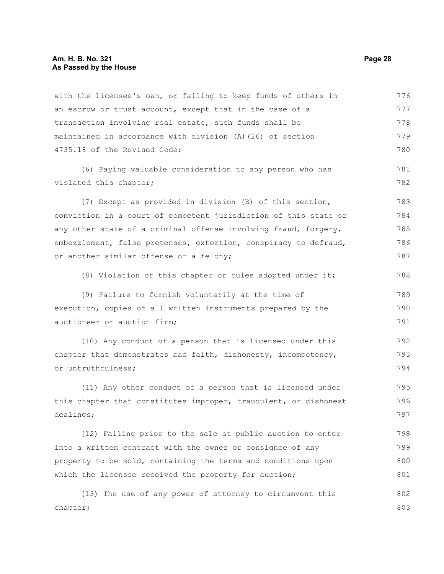with the licensee's own, or failing to keep funds of others in an escrow or trust account, except that in the case of a transaction involving real estate, such funds shall be maintained in accordance with division (A)(26) of section 4735.18 of the Revised Code; (6) Paying valuable consideration to any person who has violated this chapter; (7) Except as provided in division (B) of this section, conviction in a court of competent jurisdiction of this state or any other state of a criminal offense involving fraud, forgery, embezzlement, false pretenses, extortion, conspiracy to defraud, or another similar offense or a felony; (8) Violation of this chapter or rules adopted under it; (9) Failure to furnish voluntarily at the time of execution, copies of all written instruments prepared by the auctioneer or auction firm; (10) Any conduct of a person that is licensed under this chapter that demonstrates bad faith, dishonesty, incompetency, or untruthfulness; (11) Any other conduct of a person that is licensed under this chapter that constitutes improper, fraudulent, or dishonest dealings; (12) Failing prior to the sale at public auction to enter into a written contract with the owner or consignee of any property to be sold, containing the terms and conditions upon which the licensee received the property for auction; (13) The use of any power of attorney to circumvent this chapter; 776 777 778 779 780 781 782 783 784 785 786 787 788 789 790 791 792 793 794 795 796 797 798 799 800 801 802 803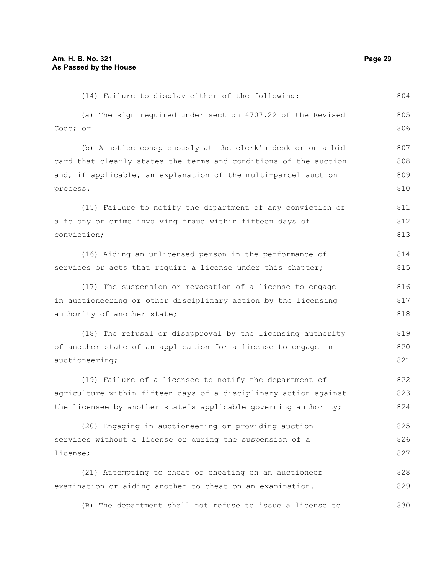(14) Failure to display either of the following: (a) The sign required under section 4707.22 of the Revised Code; or (b) A notice conspicuously at the clerk's desk or on a bid card that clearly states the terms and conditions of the auction and, if applicable, an explanation of the multi-parcel auction process. (15) Failure to notify the department of any conviction of a felony or crime involving fraud within fifteen days of conviction; (16) Aiding an unlicensed person in the performance of services or acts that require a license under this chapter; (17) The suspension or revocation of a license to engage in auctioneering or other disciplinary action by the licensing authority of another state; (18) The refusal or disapproval by the licensing authority of another state of an application for a license to engage in auctioneering; (19) Failure of a licensee to notify the department of agriculture within fifteen days of a disciplinary action against the licensee by another state's applicable governing authority; (20) Engaging in auctioneering or providing auction services without a license or during the suspension of a license; (21) Attempting to cheat or cheating on an auctioneer examination or aiding another to cheat on an examination. 804 805 806 807 808 809 810 811 812 813 814 815 816 817 818 819 820 821 822 823 824 825 826 827 828 829

(B) The department shall not refuse to issue a license to 830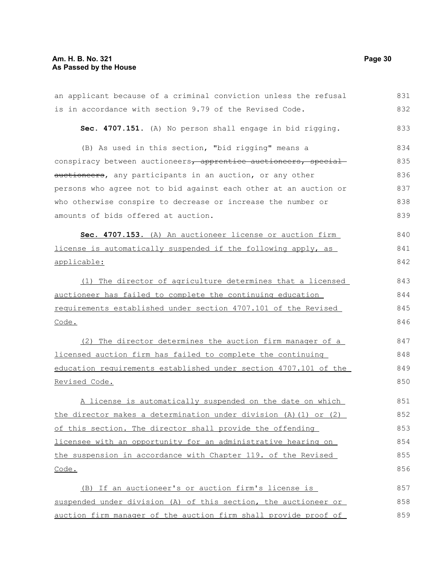### **Am. H. B. No. 321 Page 30 As Passed by the House**

| an applicant because of a criminal conviction unless the refusal | 831 |
|------------------------------------------------------------------|-----|
| is in accordance with section 9.79 of the Revised Code.          | 832 |
| Sec. 4707.151. (A) No person shall engage in bid rigging.        | 833 |
| (B) As used in this section, "bid rigging" means a               | 834 |
| conspiracy between auctioneers, apprentice auctioneers, special  | 835 |
| auctioneers, any participants in an auction, or any other        | 836 |
| persons who agree not to bid against each other at an auction or | 837 |
| who otherwise conspire to decrease or increase the number or     | 838 |
| amounts of bids offered at auction.                              | 839 |
| Sec. 4707.153. (A) An auctioneer license or auction firm         | 840 |
| license is automatically suspended if the following apply, as    | 841 |
| applicable:                                                      | 842 |
| The director of agriculture determines that a licensed<br>(1)    | 843 |
| auctioneer has failed to complete the continuing education       | 844 |
| requirements established under section 4707.101 of the Revised   | 845 |
| Code.                                                            | 846 |
| (2) The director determines the auction firm manager of a        | 847 |
| licensed auction firm has failed to complete the continuing      | 848 |
| education requirements established under section 4707.101 of the | 849 |
| Revised Code.                                                    | 850 |
| A license is automatically suspended on the date on which        | 851 |
| the director makes a determination under division (A) (1) or (2) | 852 |
| of this section. The director shall provide the offending        | 853 |
| licensee with an opportunity for an administrative hearing on    | 854 |
| the suspension in accordance with Chapter 119. of the Revised    | 855 |
| <u>Code.</u>                                                     | 856 |
| (B) If an auctioneer's or auction firm's license is              | 857 |
| suspended under division (A) of this section, the auctioneer or  | 858 |
| auction firm manager of the auction firm shall provide proof of  | 859 |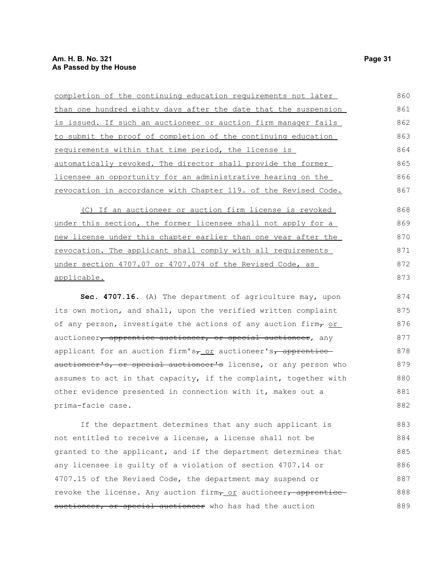| completion of the continuing education requirements not later        | 860 |
|----------------------------------------------------------------------|-----|
| than one hundred eighty days after the date that the suspension      | 861 |
| is issued. If such an auctioneer or auction firm manager fails       | 862 |
| to submit the proof of completion of the continuing education        | 863 |
| requirements within that time period, the license is                 | 864 |
| automatically revoked. The director shall provide the former         | 865 |
| licensee an opportunity for an administrative hearing on the         | 866 |
| revocation in accordance with Chapter 119. of the Revised Code.      | 867 |
| (C) If an auctioneer or auction firm license is revoked              | 868 |
| <u>under this section, the former licensee shall not apply for a</u> | 869 |
| new license under this chapter earlier than one year after the       | 870 |
| revocation. The applicant shall comply with all requirements         | 871 |
| under section 4707.07 or 4707.074 of the Revised Code, as            | 872 |
| applicable.                                                          | 873 |
| Sec. 4707.16. (A) The department of agriculture may, upon            | 874 |
| its own motion, and shall, upon the verified written complaint       | 875 |

its own motion, and shall, upon the verified written complaint of any person, investigate the actions of any auction firm,  $or$ auctioneer, apprentice auctioneer, or special auctioneer, any applicant for an auction firm's $\frac{1}{\sqrt{2}}$  auctioneer's, apprentice auctioneer's, or special auctioneer's license, or any person who assumes to act in that capacity, if the complaint, together with other evidence presented in connection with it, makes out a prima-facie case. 876 877 878 879 880 881 882

If the department determines that any such applicant is not entitled to receive a license, a license shall not be granted to the applicant, and if the department determines that any licensee is guilty of a violation of section 4707.14 or 4707.15 of the Revised Code, the department may suspend or revoke the license. Any auction firm, or auctioneer, apprentice auctioneer, or special auctioneer who has had the auction 883 884 885 886 887 888 889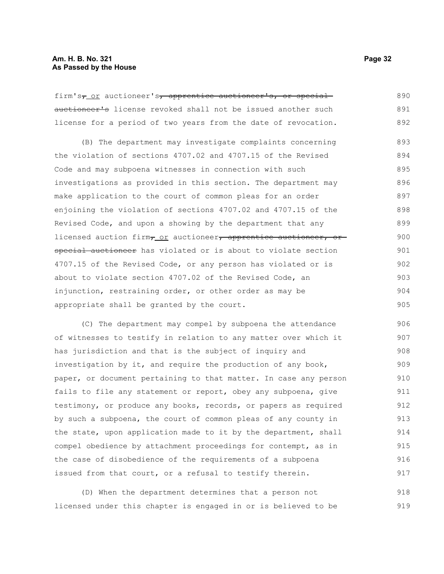firm's<sub>7</sub> or auctioneer's, apprentice auctioneer's, or special auctioneer's license revoked shall not be issued another such license for a period of two years from the date of revocation. 890 891 892

(B) The department may investigate complaints concerning the violation of sections 4707.02 and 4707.15 of the Revised Code and may subpoena witnesses in connection with such investigations as provided in this section. The department may make application to the court of common pleas for an order enjoining the violation of sections 4707.02 and 4707.15 of the Revised Code, and upon a showing by the department that any licensed auction firm, or auctioneer, apprentice auctioneer, or special auctioneer has violated or is about to violate section 4707.15 of the Revised Code, or any person has violated or is about to violate section 4707.02 of the Revised Code, an injunction, restraining order, or other order as may be appropriate shall be granted by the court. 893 894 895 896 897 898 899 900 901 902 903 904 905

(C) The department may compel by subpoena the attendance of witnesses to testify in relation to any matter over which it has jurisdiction and that is the subject of inquiry and investigation by it, and require the production of any book, paper, or document pertaining to that matter. In case any person fails to file any statement or report, obey any subpoena, give testimony, or produce any books, records, or papers as required by such a subpoena, the court of common pleas of any county in the state, upon application made to it by the department, shall compel obedience by attachment proceedings for contempt, as in the case of disobedience of the requirements of a subpoena issued from that court, or a refusal to testify therein. 906 907 908 909 910 911 912 913 914 915 916 917

(D) When the department determines that a person not licensed under this chapter is engaged in or is believed to be 918 919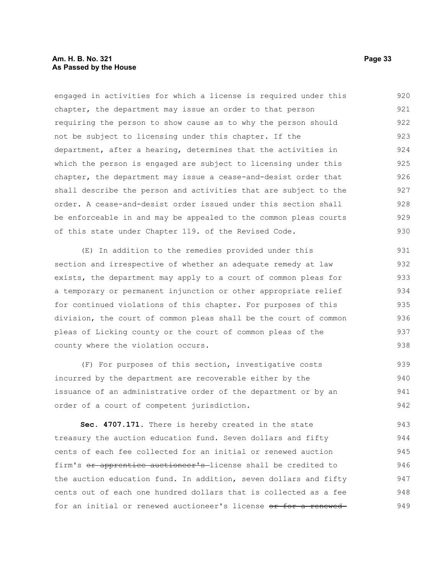#### **Am. H. B. No. 321 Page 33 As Passed by the House**

engaged in activities for which a license is required under this chapter, the department may issue an order to that person requiring the person to show cause as to why the person should not be subject to licensing under this chapter. If the department, after a hearing, determines that the activities in which the person is engaged are subject to licensing under this chapter, the department may issue a cease-and-desist order that shall describe the person and activities that are subject to the order. A cease-and-desist order issued under this section shall be enforceable in and may be appealed to the common pleas courts of this state under Chapter 119. of the Revised Code. 920 921 922 923 924 925 926 927 928 929 930

(E) In addition to the remedies provided under this section and irrespective of whether an adequate remedy at law exists, the department may apply to a court of common pleas for a temporary or permanent injunction or other appropriate relief for continued violations of this chapter. For purposes of this division, the court of common pleas shall be the court of common pleas of Licking county or the court of common pleas of the county where the violation occurs. 931 932 933 934 935 936 937 938

(F) For purposes of this section, investigative costs incurred by the department are recoverable either by the issuance of an administrative order of the department or by an order of a court of competent jurisdiction. 939 940 941 942

**Sec. 4707.171.** There is hereby created in the state treasury the auction education fund. Seven dollars and fifty cents of each fee collected for an initial or renewed auction firm's or apprentice auctioneer's license shall be credited to the auction education fund. In addition, seven dollars and fifty cents out of each one hundred dollars that is collected as a fee for an initial or renewed auctioneer's license or for a renewed 943 944 945 946 947 948 949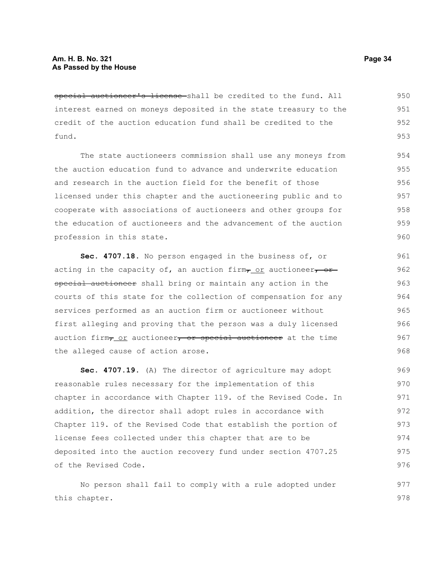special auctioneer's license-shall be credited to the fund. All interest earned on moneys deposited in the state treasury to the credit of the auction education fund shall be credited to the fund. 950 951 952 953

The state auctioneers commission shall use any moneys from the auction education fund to advance and underwrite education and research in the auction field for the benefit of those licensed under this chapter and the auctioneering public and to cooperate with associations of auctioneers and other groups for the education of auctioneers and the advancement of the auction profession in this state.

**Sec. 4707.18.** No person engaged in the business of, or acting in the capacity of, an auction firm $\tau$  or auctioneer, or special auctioneer shall bring or maintain any action in the courts of this state for the collection of compensation for any services performed as an auction firm or auctioneer without first alleging and proving that the person was a duly licensed auction firm $_7$  or auctioneer, or special auctioneer at the time the alleged cause of action arose.

**Sec. 4707.19.** (A) The director of agriculture may adopt reasonable rules necessary for the implementation of this chapter in accordance with Chapter 119. of the Revised Code. In addition, the director shall adopt rules in accordance with Chapter 119. of the Revised Code that establish the portion of license fees collected under this chapter that are to be deposited into the auction recovery fund under section 4707.25 of the Revised Code. 969 970 971 972 973 974 975 976

No person shall fail to comply with a rule adopted under this chapter. 977 978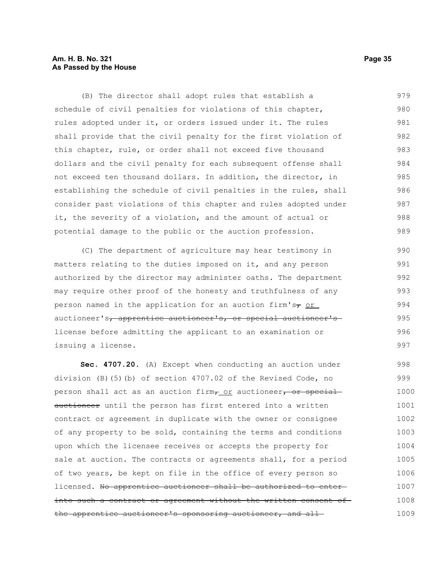#### **Am. H. B. No. 321 Page 35 As Passed by the House**

(B) The director shall adopt rules that establish a schedule of civil penalties for violations of this chapter, rules adopted under it, or orders issued under it. The rules shall provide that the civil penalty for the first violation of this chapter, rule, or order shall not exceed five thousand dollars and the civil penalty for each subsequent offense shall not exceed ten thousand dollars. In addition, the director, in establishing the schedule of civil penalties in the rules, shall consider past violations of this chapter and rules adopted under it, the severity of a violation, and the amount of actual or potential damage to the public or the auction profession. 979 980 981 982 983 984 985 986 987 988 989

(C) The department of agriculture may hear testimony in matters relating to the duties imposed on it, and any person authorized by the director may administer oaths. The department may require other proof of the honesty and truthfulness of any person named in the application for an auction firm's $\tau$  or auctioneer's, apprentice auctioneer's, or special auctioneer's license before admitting the applicant to an examination or issuing a license.

**Sec. 4707.20.** (A) Except when conducting an auction under division (B)(5)(b) of section 4707.02 of the Revised Code, no person shall act as an auction firm, or auctioneer, or specialauctioneer until the person has first entered into a written contract or agreement in duplicate with the owner or consignee of any property to be sold, containing the terms and conditions upon which the licensee receives or accepts the property for sale at auction. The contracts or agreements shall, for a period of two years, be kept on file in the office of every person so licensed. No apprentice auctioneer shall be authorized to enterinto such a contract or agreement without the written consent of the apprentice auctioneer's sponsoring auctioneer, and all 998 999 1000 1001 1002 1003 1004 1005 1006 1007 1008 1009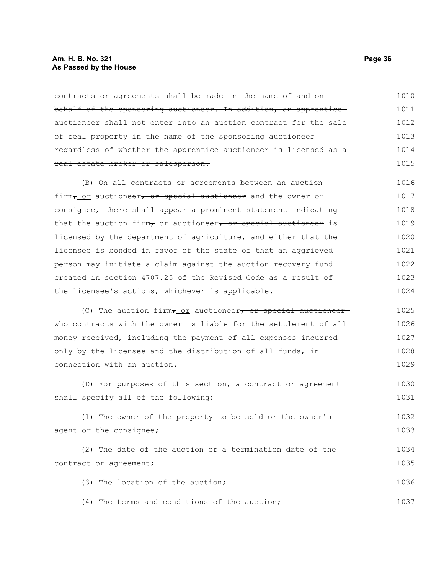### **Am. H. B. No. 321 Page 36 As Passed by the House**

| contracts or agreements shall be made in the name of and on-                            | 1010 |
|-----------------------------------------------------------------------------------------|------|
| behalf of the sponsoring auctioneer. In addition, an apprentice                         | 1011 |
| auctioneer shall not enter into an auction contract for the sale-                       | 1012 |
| of real property in the name of the sponsoring auctioneer-                              | 1013 |
| regardless of whether the apprentice auctioneer is licensed as a                        | 1014 |
| real estate broker or salesperson.                                                      | 1015 |
| (B) On all contracts or agreements between an auction                                   | 1016 |
| firm <sub>7_OL</sub> auctioneer, or special auctioneer and the owner or                 | 1017 |
| consignee, there shall appear a prominent statement indicating                          | 1018 |
| that the auction firm <sub>7</sub> or auctioneer, or special auctioneer is              | 1019 |
| licensed by the department of agriculture, and either that the                          | 1020 |
| licensee is bonded in favor of the state or that an aggrieved                           | 1021 |
| person may initiate a claim against the auction recovery fund                           | 1022 |
| created in section 4707.25 of the Revised Code as a result of                           | 1023 |
| the licensee's actions, whichever is applicable.                                        | 1024 |
| (C) The auction firm <sub><math>\tau</math></sub> or auctioneer, or special auctioneer- | 1025 |
| who contracts with the owner is liable for the settlement of all                        | 1026 |
| money received, including the payment of all expenses incurred                          | 1027 |
| only by the licensee and the distribution of all funds, in                              | 1028 |
| connection with an auction.                                                             | 1029 |
| (D) For purposes of this section, a contract or agreement                               | 1030 |
| shall specify all of the following:                                                     | 1031 |
| (1) The owner of the property to be sold or the owner's                                 | 1032 |
| agent or the consignee;                                                                 | 1033 |
| (2) The date of the auction or a termination date of the                                | 1034 |
| contract or agreement;                                                                  | 1035 |
| (3) The location of the auction;                                                        | 1036 |
| (4) The terms and conditions of the auction;                                            | 1037 |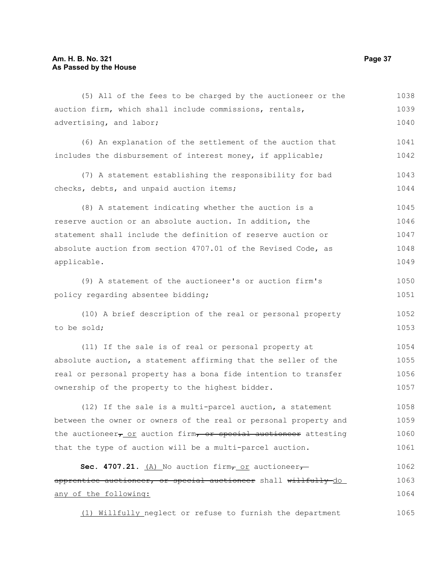any of the following:

(5) All of the fees to be charged by the auctioneer or the auction firm, which shall include commissions, rentals, advertising, and labor; (6) An explanation of the settlement of the auction that includes the disbursement of interest money, if applicable; (7) A statement establishing the responsibility for bad checks, debts, and unpaid auction items; (8) A statement indicating whether the auction is a reserve auction or an absolute auction. In addition, the statement shall include the definition of reserve auction or absolute auction from section 4707.01 of the Revised Code, as applicable. (9) A statement of the auctioneer's or auction firm's policy regarding absentee bidding; (10) A brief description of the real or personal property to be sold; (11) If the sale is of real or personal property at absolute auction, a statement affirming that the seller of the real or personal property has a bona fide intention to transfer ownership of the property to the highest bidder. (12) If the sale is a multi-parcel auction, a statement between the owner or owners of the real or personal property and the auctioneer $\tau$  or auction firm, or special auctioneer attesting that the type of auction will be a multi-parcel auction. **Sec. 4707.21.**  $(A)$  No auction firm $\tau$  or auctioneer $\tau$ apprentice auctioneer, or special auctioneer shall willfully-do 1038 1039 1040 1041 1042 1043 1044 1045 1046 1047 1048 1049 1050 1051 1052 1053 1054 1055 1056 1057 1058 1059 1060 1061 1062 1063

(1) Willfully neglect or refuse to furnish the department 1065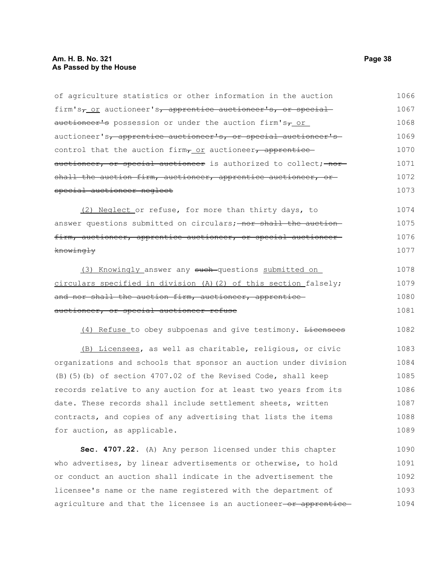### **Am. H. B. No. 321 Page 38 As Passed by the House**

| of agriculture statistics or other information in the auction                        | 1066 |
|--------------------------------------------------------------------------------------|------|
| firm's <sub>7</sub> or auctioneer's <sub>7</sub> apprentice auctioneer's, or special | 1067 |
| auctioneer's possession or under the auction firm's <sub>7_Or_</sub>                 | 1068 |
| auctioneer's, apprentice auctioneer's, or special auctioneer's                       | 1069 |
| control that the auction firm, or auctioneer, apprentice                             | 1070 |
| auctioneer, or special auctioneer is authorized to collect; nor                      | 1071 |
| shall the auction firm, auctioneer, apprentice auctioneer, or                        | 1072 |
| special auctioneer neglect                                                           | 1073 |
| (2) Neglect or refuse, for more than thirty days, to                                 | 1074 |
| answer questions submitted on circulars; nor shall the auction                       | 1075 |
| firm, auctioneer, apprentice auctioneer, or special auctioneer-                      | 1076 |
| <del>knowingly</del>                                                                 | 1077 |
| (3) Knowingly answer any such-questions submitted on                                 | 1078 |
| circulars specified in division (A) (2) of this section falsely;                     | 1079 |
| and nor shall the auction firm, auctioneer, apprentice                               | 1080 |
| auctioneer, or special auctioneer refuse                                             | 1081 |
| (4) Refuse to obey subpoenas and give testimony. Licensees                           | 1082 |
| (B) Licensees, as well as charitable, religious, or civic                            | 1083 |
| organizations and schools that sponsor an auction under division                     | 1084 |
| (B) (5) (b) of section 4707.02 of the Revised Code, shall keep                       | 1085 |
| records relative to any auction for at least two years from its                      | 1086 |
| date. These records shall include settlement sheets, written                         | 1087 |
| contracts, and copies of any advertising that lists the items                        | 1088 |
| for auction, as applicable.                                                          | 1089 |
| Sec. 4707.22. (A) Any person licensed under this chapter                             | 1090 |
| who advertises, by linear advertisements or otherwise, to hold                       | 1091 |
| or conduct an auction shall indicate in the advertisement the                        | 1092 |
| licensee's name or the name registered with the department of                        | 1093 |
| agriculture and that the licensee is an auctioneer-or apprentice                     | 1094 |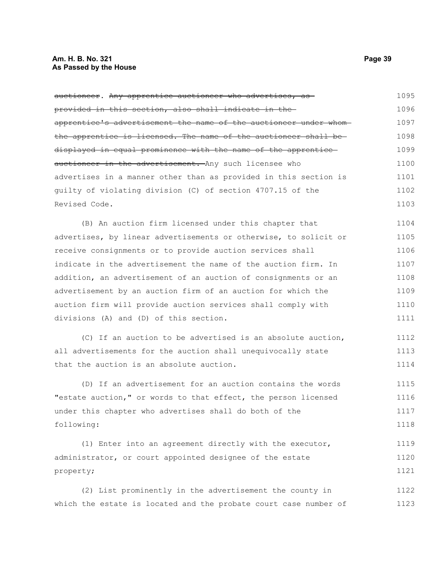### **Am. H. B. No. 321 Page 39 As Passed by the House**

| auctioneer. Any apprentice auctioneer who advertises, as          | 1095 |
|-------------------------------------------------------------------|------|
| provided in this section, also shall indicate in the              | 1096 |
| apprentice's advertisement the name of the auctioneer under whom- | 1097 |
| the apprentice is licensed. The name of the auctioneer shall be-  | 1098 |
| displayed in equal prominence with the name of the apprentice     | 1099 |
| auctioneer in the advertisement. Any such licensee who            | 1100 |
| advertises in a manner other than as provided in this section is  | 1101 |
| quilty of violating division (C) of section 4707.15 of the        | 1102 |
| Revised Code.                                                     | 1103 |
| (B) An auction firm licensed under this chapter that              | 1104 |
| advertises, by linear advertisements or otherwise, to solicit or  | 1105 |
| receive consignments or to provide auction services shall         | 1106 |
| indicate in the advertisement the name of the auction firm. In    | 1107 |
| addition, an advertisement of an auction of consignments or an    | 1108 |
| advertisement by an auction firm of an auction for which the      | 1109 |
| auction firm will provide auction services shall comply with      | 1110 |
| divisions (A) and (D) of this section.                            | 1111 |
| (C) If an auction to be advertised is an absolute auction,        | 1112 |
| all advertisements for the auction shall unequivocally state      | 1113 |
| that the auction is an absolute auction.                          | 1114 |
| (D) If an advertisement for an auction contains the words         | 1115 |
| "estate auction," or words to that effect, the person licensed    | 1116 |
| under this chapter who advertises shall do both of the            | 1117 |
| following:                                                        | 1118 |
| (1) Enter into an agreement directly with the executor,           | 1119 |
| administrator, or court appointed designee of the estate          | 1120 |
| property;                                                         | 1121 |
| (2) List prominently in the advertisement the county in           | 1122 |
| which the estate is located and the probate court case number of  | 1123 |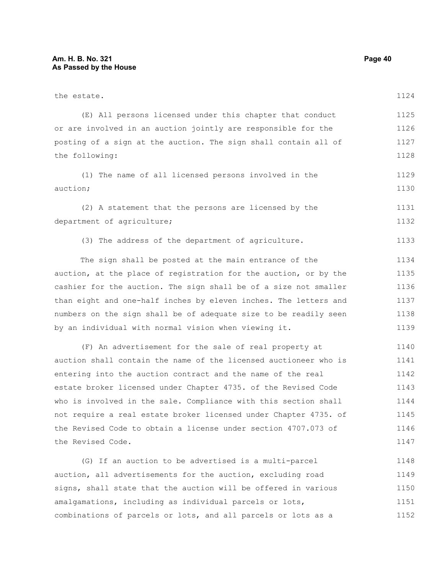| the estate.                                                      | 1124 |
|------------------------------------------------------------------|------|
| (E) All persons licensed under this chapter that conduct         | 1125 |
| or are involved in an auction jointly are responsible for the    | 1126 |
| posting of a sign at the auction. The sign shall contain all of  | 1127 |
| the following:                                                   | 1128 |
| (1) The name of all licensed persons involved in the             | 1129 |
| auction;                                                         | 1130 |
| (2) A statement that the persons are licensed by the             | 1131 |
| department of agriculture;                                       | 1132 |
| (3) The address of the department of agriculture.                | 1133 |
| The sign shall be posted at the main entrance of the             | 1134 |
| auction, at the place of registration for the auction, or by the | 1135 |
| cashier for the auction. The sign shall be of a size not smaller | 1136 |
| than eight and one-half inches by eleven inches. The letters and | 1137 |
| numbers on the sign shall be of adequate size to be readily seen | 1138 |
| by an individual with normal vision when viewing it.             | 1139 |
| (F) An advertisement for the sale of real property at            | 1140 |
| auction shall contain the name of the licensed auctioneer who is | 1141 |
| entering into the auction contract and the name of the real      | 1142 |
| estate broker licensed under Chapter 4735. of the Revised Code   | 1143 |
| who is involved in the sale. Compliance with this section shall  | 1144 |
| not require a real estate broker licensed under Chapter 4735. of | 1145 |
| the Revised Code to obtain a license under section 4707.073 of   | 1146 |
| the Revised Code.                                                | 1147 |
| (G) If an auction to be advertised is a multi-parcel             | 1148 |
| auction, all advertisements for the auction, excluding road      | 1149 |
| signs, shall state that the auction will be offered in various   | 1150 |
| amalgamations, including as individual parcels or lots,          | 1151 |

combinations of parcels or lots, and all parcels or lots as a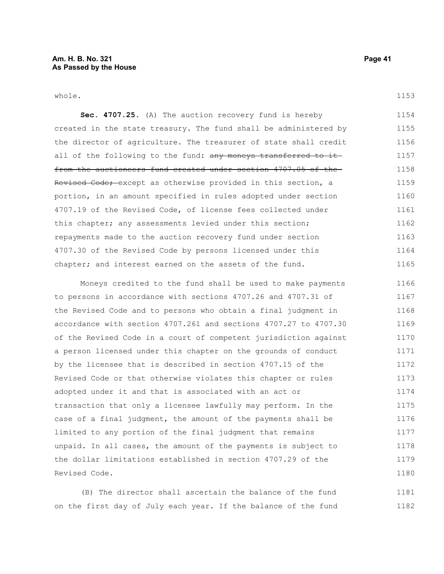whole.

1153

**Sec. 4707.25.** (A) The auction recovery fund is hereby created in the state treasury. The fund shall be administered by the director of agriculture. The treasurer of state shall credit all of the following to the fund: any moneys transferred to itfrom the auctioneers fund created under section 4707.05 of the Revised Code; except as otherwise provided in this section, a portion, in an amount specified in rules adopted under section 4707.19 of the Revised Code, of license fees collected under this chapter; any assessments levied under this section; repayments made to the auction recovery fund under section 4707.30 of the Revised Code by persons licensed under this chapter; and interest earned on the assets of the fund. 1154 1155 1156 1157 1158 1159 1160 1161 1162 1163 1164 1165

Moneys credited to the fund shall be used to make payments to persons in accordance with sections 4707.26 and 4707.31 of the Revised Code and to persons who obtain a final judgment in accordance with section 4707.261 and sections 4707.27 to 4707.30 of the Revised Code in a court of competent jurisdiction against a person licensed under this chapter on the grounds of conduct by the licensee that is described in section 4707.15 of the Revised Code or that otherwise violates this chapter or rules adopted under it and that is associated with an act or transaction that only a licensee lawfully may perform. In the case of a final judgment, the amount of the payments shall be limited to any portion of the final judgment that remains unpaid. In all cases, the amount of the payments is subject to the dollar limitations established in section 4707.29 of the Revised Code. 1166 1167 1168 1169 1170 1171 1172 1173 1174 1175 1176 1177 1178 1179 1180

(B) The director shall ascertain the balance of the fund on the first day of July each year. If the balance of the fund 1181 1182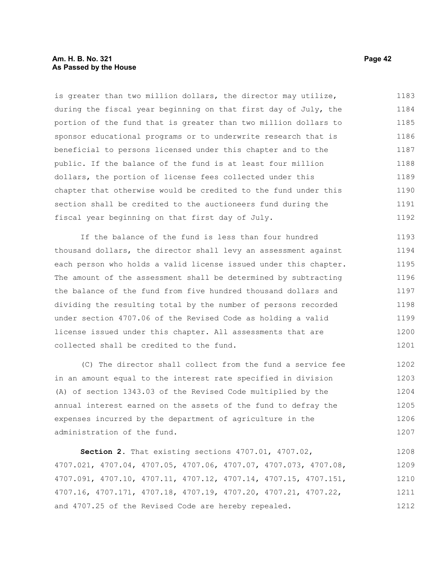#### **Am. H. B. No. 321 Page 42 As Passed by the House**

is greater than two million dollars, the director may utilize, during the fiscal year beginning on that first day of July, the portion of the fund that is greater than two million dollars to sponsor educational programs or to underwrite research that is beneficial to persons licensed under this chapter and to the public. If the balance of the fund is at least four million dollars, the portion of license fees collected under this chapter that otherwise would be credited to the fund under this section shall be credited to the auctioneers fund during the fiscal year beginning on that first day of July. 1183 1184 1185 1186 1187 1188 1189 1190 1191 1192

If the balance of the fund is less than four hundred thousand dollars, the director shall levy an assessment against each person who holds a valid license issued under this chapter. The amount of the assessment shall be determined by subtracting the balance of the fund from five hundred thousand dollars and dividing the resulting total by the number of persons recorded under section 4707.06 of the Revised Code as holding a valid license issued under this chapter. All assessments that are collected shall be credited to the fund. 1193 1194 1195 1196 1197 1198 1199 1200 1201

(C) The director shall collect from the fund a service fee in an amount equal to the interest rate specified in division (A) of section 1343.03 of the Revised Code multiplied by the annual interest earned on the assets of the fund to defray the expenses incurred by the department of agriculture in the administration of the fund. 1202 1203 1204 1205 1206 1207

**Section 2.** That existing sections 4707.01, 4707.02, 4707.021, 4707.04, 4707.05, 4707.06, 4707.07, 4707.073, 4707.08, 4707.091, 4707.10, 4707.11, 4707.12, 4707.14, 4707.15, 4707.151, 4707.16, 4707.171, 4707.18, 4707.19, 4707.20, 4707.21, 4707.22, and 4707.25 of the Revised Code are hereby repealed. 1208 1209 1210 1211 1212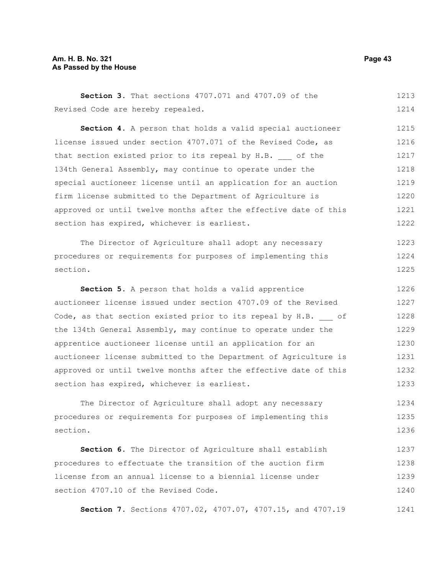#### **Am. H. B. No. 321 Page 43 As Passed by the House**

**Section 3.** That sections 4707.071 and 4707.09 of the Revised Code are hereby repealed. 1213 1214

**Section 4.** A person that holds a valid special auctioneer license issued under section 4707.071 of the Revised Code, as that section existed prior to its repeal by H.B. of the 134th General Assembly, may continue to operate under the special auctioneer license until an application for an auction firm license submitted to the Department of Agriculture is approved or until twelve months after the effective date of this section has expired, whichever is earliest. 1215 1216 1217 1218 1219 1220 1221 1222

The Director of Agriculture shall adopt any necessary procedures or requirements for purposes of implementing this section. 1223 1224 1225

**Section 5.** A person that holds a valid apprentice auctioneer license issued under section 4707.09 of the Revised Code, as that section existed prior to its repeal by H.B. of the 134th General Assembly, may continue to operate under the apprentice auctioneer license until an application for an auctioneer license submitted to the Department of Agriculture is approved or until twelve months after the effective date of this section has expired, whichever is earliest. 1226 1227 1228 1229 1230 1231 1232 1233

The Director of Agriculture shall adopt any necessary procedures or requirements for purposes of implementing this section. 1234 1235 1236

**Section 6.** The Director of Agriculture shall establish procedures to effectuate the transition of the auction firm license from an annual license to a biennial license under section 4707.10 of the Revised Code. 1237 1238 1239 1240

**Section 7.** Sections 4707.02, 4707.07, 4707.15, and 4707.19 1241